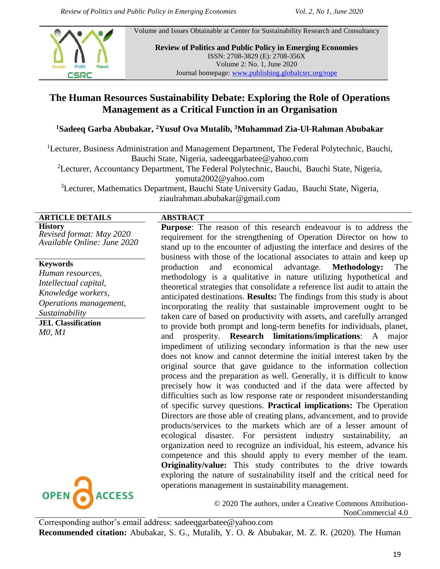Volume and Issues Obtainable at Center for Sustainability Research and Consultancy



**Review of Politics and Public Policy in Emerging Economies** ISSN: 2708-3829 (E): 2708-356X Volume 2: No. 1, June 2020 Journal homepage: [www.publishing.globalcsrc.org/rope](http://www.publishing.globalcsrc.org/rope)

# **The Human Resources Sustainability Debate: Exploring the Role of Operations Management as a Critical Function in an Organisation**

#### **<sup>1</sup>Sadeeq Garba Abubakar, <sup>2</sup>Yusuf Ova Mutalib, <sup>3</sup>Muhammad Zia-Ul-Rahman Abubakar**

<sup>1</sup>Lecturer, Business Administration and Management Department, The Federal Polytechnic, Bauchi, Bauchi State, Nigeria, [sadeeqgarbatee@yahoo.com](mailto:sadeeqgarbatee@yahoo.com)

<sup>2</sup>Lecturer, Accountancy Department, The Federal Polytechnic, Bauchi, Bauchi State, Nigeria, [yomuta2002@yahoo.com](mailto:yomuta2002@yahoo.com)

<sup>3</sup>Lecturer, Mathematics Department, Bauchi State University Gadau, Bauchi State, Nigeria, [ziaulrahman.abubakar@gmail.com](mailto:ziaulrahman.abubakar@gmail.com)

## **ARTICLE DETAILS ABSTRACT**

**History** *Revised format: May 2020 Available Online: June 2020*

#### **Keywords**

*Human resources, Intellectual capital, Knowledge workers, Operations management, Sustainability*

**JEL Classification** *M0, M1*



**Purpose**: The reason of this research endeavour is to address the requirement for the strengthening of Operation Director on how to stand up to the encounter of adjusting the interface and desires of the business with those of the locational associates to attain and keep up production and economical advantage. **Methodology:** The methodology is a qualitative in nature utilizing hypothetical and theoretical strategies that consolidate a reference list audit to attain the anticipated destinations. **Results:** The findings from this study is about incorporating the reality that sustainable improvement ought to be taken care of based on productivity with assets, and carefully arranged to provide both prompt and long-term benefits for individuals, planet, and prosperity. **Research limitations/implications**: A major impediment of utilizing secondary information is that the new user does not know and cannot determine the initial interest taken by the original source that gave guidance to the information collection process and the preparation as well. Generally, it is difficult to know precisely how it was conducted and if the data were affected by difficulties such as low response rate or respondent misunderstanding of specific survey questions. **Practical implications:** The Operation Directors are those able of creating plans, advancement, and to provide products/services to the markets which are of a lesser amount of ecological disaster. For persistent industry sustainability, an organization need to recognize an individual, his esteem, advance his competence and this should apply to every member of the team. **Originality/value:** This study contributes to the drive towards exploring the nature of sustainability itself and the critical need for operations management in sustainability management.

> © 2020 The authors, under a Creative Commons Attribution-NonCommercial 4.0

Corresponding author's email address: [sadeeqgarbatee@yahoo.com](mailto:sadeeqgarbatee@yahoo.com) **Recommended citation:** Abubakar, S. G., Mutalib, Y. O. & Abubakar, M. Z. R. (2020). The Human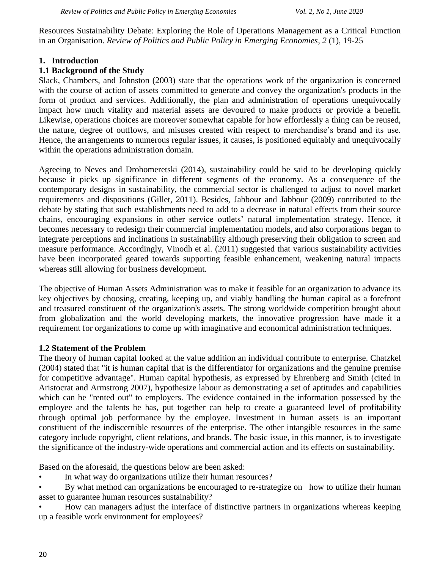Resources Sustainability Debate: Exploring the Role of Operations Management as a Critical Function in an Organisation. *Review of Politics and Public Policy in Emerging Economies, 2* (1), 19-25

### **1. Introduction**

### **1.1 Background of the Study**

Slack, Chambers, and Johnston (2003) state that the operations work of the organization is concerned with the course of action of assets committed to generate and convey the organization's products in the form of product and services. Additionally, the plan and administration of operations unequivocally impact how much vitality and material assets are devoured to make products or provide a benefit. Likewise, operations choices are moreover somewhat capable for how effortlessly a thing can be reused, the nature, degree of outflows, and misuses created with respect to merchandise's brand and its use. Hence, the arrangements to numerous regular issues, it causes, is positioned equitably and unequivocally within the operations administration domain.

Agreeing to Neves and Drohomeretski (2014), sustainability could be said to be developing quickly because it picks up significance in different segments of the economy. As a consequence of the contemporary designs in sustainability, the commercial sector is challenged to adjust to novel market requirements and dispositions (Gillet, 2011). Besides, Jabbour and Jabbour (2009) contributed to the debate by stating that such establishments need to add to a decrease in natural effects from their source chains, encouraging expansions in other service outlets' natural implementation strategy. Hence, it becomes necessary to redesign their commercial implementation models, and also corporations began to integrate perceptions and inclinations in sustainability although preserving their obligation to screen and measure performance. Accordingly, Vinodh et al. (2011) suggested that various sustainability activities have been incorporated geared towards supporting feasible enhancement, weakening natural impacts whereas still allowing for business development.

The objective of Human Assets Administration was to make it feasible for an organization to advance its key objectives by choosing, creating, keeping up, and viably handling the human capital as a forefront and treasured constituent of the organization's assets. The strong worldwide competition brought about from globalization and the world developing markets, the innovative progression have made it a requirement for organizations to come up with imaginative and economical administration techniques.

#### **1.2 Statement of the Problem**

The theory of human capital looked at the value addition an individual contribute to enterprise. Chatzkel (2004) stated that "it is human capital that is the differentiator for organizations and the genuine premise for competitive advantage". Human capital hypothesis, as expressed by Ehrenberg and Smith (cited in Aristocrat and Armstrong 2007), hypothesize labour as demonstrating a set of aptitudes and capabilities which can be "rented out" to employers. The evidence contained in the information possessed by the employee and the talents he has, put together can help to create a guaranteed level of profitability through optimal job performance by the employee. Investment in human assets is an important constituent of the indiscernible resources of the enterprise. The other intangible resources in the same category include copyright, client relations, and brands. The basic issue, in this manner, is to investigate the significance of the industry-wide operations and commercial action and its effects on sustainability.

Based on the aforesaid, the questions below are been asked:

- In what way do organizations utilize their human resources?
- By what method can organizations be encouraged to re-strategize on how to utilize their human asset to guarantee human resources sustainability?
- How can managers adjust the interface of distinctive partners in organizations whereas keeping up a feasible work environment for employees?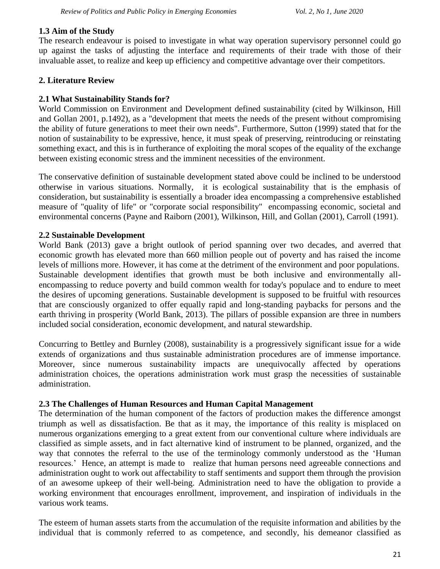#### **1.3 Aim of the Study**

The research endeavour is poised to investigate in what way operation supervisory personnel could go up against the tasks of adjusting the interface and requirements of their trade with those of their invaluable asset, to realize and keep up efficiency and competitive advantage over their competitors.

## **2. Literature Review**

## **2.1 What Sustainability Stands for?**

World Commission on Environment and Development defined sustainability (cited by Wilkinson, Hill and Gollan 2001, p.1492), as a "development that meets the needs of the present without compromising the ability of future generations to meet their own needs". Furthermore, Sutton (1999) stated that for the notion of sustainability to be expressive, hence, it must speak of preserving, reintroducing or reinstating something exact, and this is in furtherance of exploiting the moral scopes of the equality of the exchange between existing economic stress and the imminent necessities of the environment.

The conservative definition of sustainable development stated above could be inclined to be understood otherwise in various situations. Normally, it is ecological sustainability that is the emphasis of consideration, but sustainability is essentially a broader idea encompassing a comprehensive established measure of "quality of life" or "corporate social responsibility" encompassing economic, societal and environmental concerns (Payne and Raiborn (2001), Wilkinson, Hill, and Gollan (2001), Carroll (1991).

## **2.2 Sustainable Development**

World Bank (2013) gave a bright outlook of period spanning over two decades, and averred that economic growth has elevated more than 660 million people out of poverty and has raised the income levels of millions more. However, it has come at the detriment of the environment and poor populations. Sustainable development identifies that growth must be both inclusive and environmentally allencompassing to reduce poverty and build common wealth for today's populace and to endure to meet the desires of upcoming generations. Sustainable development is supposed to be fruitful with resources that are consciously organized to offer equally rapid and long-standing paybacks for persons and the earth thriving in prosperity (World Bank, 2013). The pillars of possible expansion are three in numbers included social consideration, economic development, and natural stewardship.

Concurring to Bettley and Burnley (2008), sustainability is a progressively significant issue for a wide extends of organizations and thus sustainable administration procedures are of immense importance. Moreover, since numerous sustainability impacts are unequivocally affected by operations administration choices, the operations administration work must grasp the necessities of sustainable administration.

## **2.3 The Challenges of Human Resources and Human Capital Management**

The determination of the human component of the factors of production makes the difference amongst triumph as well as dissatisfaction. Be that as it may, the importance of this reality is misplaced on numerous organizations emerging to a great extent from our conventional culture where individuals are classified as simple assets, and in fact alternative kind of instrument to be planned, organized, and the way that connotes the referral to the use of the terminology commonly understood as the 'Human resources.' Hence, an attempt is made to realize that human persons need agreeable connections and administration ought to work out affectability to staff sentiments and support them through the provision of an awesome upkeep of their well-being. Administration need to have the obligation to provide a working environment that encourages enrollment, improvement, and inspiration of individuals in the various work teams.

The esteem of human assets starts from the accumulation of the requisite information and abilities by the individual that is commonly referred to as competence, and secondly, his demeanor classified as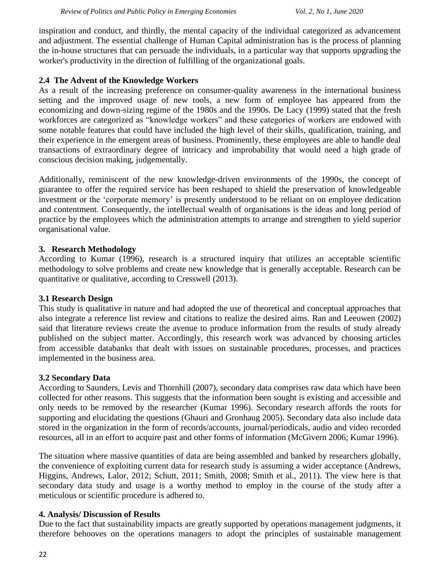inspiration and conduct, and thirdly, the mental capacity of the individual categorized as advancement and adjustment. The essential challenge of Human Capital administration has is the process of planning the in-house structures that can persuade the individuals, in a particular way that supports upgrading the worker's productivity in the direction of fulfilling of the organizational goals.

### **2.4 The Advent of the Knowledge Workers**

As a result of the increasing preference on consumer-quality awareness in the international business setting and the improved usage of new tools, a new form of employee has appeared from the economizing and down-sizing regime of the 1980s and the 1990s. De Lacy (1999) stated that the fresh workforces are categorized as "knowledge workers" and these categories of workers are endowed with some notable features that could have included the high level of their skills, qualification, training, and their experience in the emergent areas of business. Prominently, these employees are able to handle deal transactions of extraordinary degree of intricacy and improbability that would need a high grade of conscious decision making, judgementally.

Additionally, reminiscent of the new knowledge-driven environments of the 1990s, the concept of guarantee to offer the required service has been reshaped to shield the preservation of knowledgeable investment or the 'corporate memory' is presently understood to be reliant on on employee dedication and contentment. Consequently, the intellectual wealth of organisations is the ideas and long period of practice by the employees which the administration attempts to arrange and strengthen to yield superior organisational value.

### **3. Research Methodology**

According to Kumar (1996), research is a structured inquiry that utilizes an acceptable scientific methodology to solve problems and create new knowledge that is generally acceptable. Research can be quantitative or qualitative, according to Cresswell (2013).

#### **3.1 Research Design**

This study is qualitative in nature and had adopted the use of theoretical and conceptual approaches that also integrate a reference list review and citations to realize the desired aims. Ran and Leeuwen (2002) said that literature reviews create the avenue to produce information from the results of study already published on the subject matter. Accordingly, this research work was advanced by choosing articles from accessible databanks that dealt with issues on sustainable procedures, processes, and practices implemented in the business area.

#### **3.2 Secondary Data**

According to Saunders, Levis and Thornhill (2007), secondary data comprises raw data which have been collected for other reasons. This suggests that the information been sought is existing and accessible and only needs to be removed by the researcher (Kumar 1996). Secondary research affords the roots for supporting and elucidating the questions (Ghauri and Gronhaug 2005). Secondary data also include data stored in the organization in the form of records/accounts, journal/periodicals, audio and video recorded resources, all in an effort to acquire past and other forms of information (McGivern 2006; Kumar 1996).

The situation where massive quantities of data are being assembled and banked by researchers globally, the convenience of exploiting current data for research study is assuming a wider acceptance (Andrews, Higgins, Andrews, Lalor, 2012; Schutt, 2011; Smith, 2008; Smith et al., 2011). The view here is that secondary data study and usage is a worthy method to employ in the course of the study after a meticulous or scientific procedure is adhered to.

#### **4. Analysis/ Discussion of Results**

Due to the fact that sustainability impacts are greatly supported by operations management judgments, it therefore behooves on the operations managers to adopt the principles of sustainable management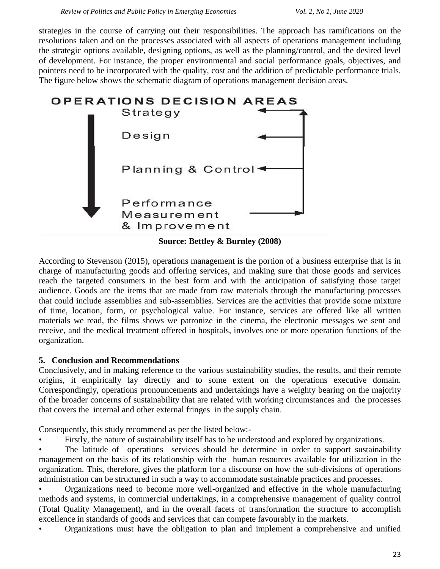strategies in the course of carrying out their responsibilities. The approach has ramifications on the resolutions taken and on the processes associated with all aspects of operations management including the strategic options available, designing options, as well as the planning/control, and the desired level of development. For instance, the proper environmental and social performance goals, objectives, and pointers need to be incorporated with the quality, cost and the addition of predictable performance trials. The figure below shows the schematic diagram of operations management decision areas.



According to Stevenson (2015), operations management is the portion of a business enterprise that is in charge of manufacturing goods and offering services, and making sure that those goods and services reach the targeted consumers in the best form and with the anticipation of satisfying those target audience. Goods are the items that are made from raw materials through the manufacturing processes that could include assemblies and sub-assemblies. Services are the activities that provide some mixture of time, location, form, or psychological value. For instance, services are offered like all written materials we read, the films shows we patronize in the cinema, the electronic messages we sent and receive, and the medical treatment offered in hospitals, involves one or more operation functions of the organization.

#### **5. Conclusion and Recommendations**

Conclusively, and in making reference to the various sustainability studies, the results, and their remote origins, it empirically lay directly and to some extent on the operations executive domain. Correspondingly, operations pronouncements and undertakings have a weighty bearing on the majority of the broader concerns of sustainability that are related with working circumstances and the processes that covers the internal and other external fringes in the supply chain.

Consequently, this study recommend as per the listed below:-

Firstly, the nature of sustainability itself has to be understood and explored by organizations.

The latitude of operations services should be determine in order to support sustainability management on the basis of its relationship with the human resources available for utilization in the organization. This, therefore, gives the platform for a discourse on how the sub-divisions of operations administration can be structured in such a way to accommodate sustainable practices and processes.

• Organizations need to become more well-organized and effective in the whole manufacturing methods and systems, in commercial undertakings, in a comprehensive management of quality control (Total Quality Management), and in the overall facets of transformation the structure to accomplish excellence in standards of goods and services that can compete favourably in the markets.

• Organizations must have the obligation to plan and implement a comprehensive and unified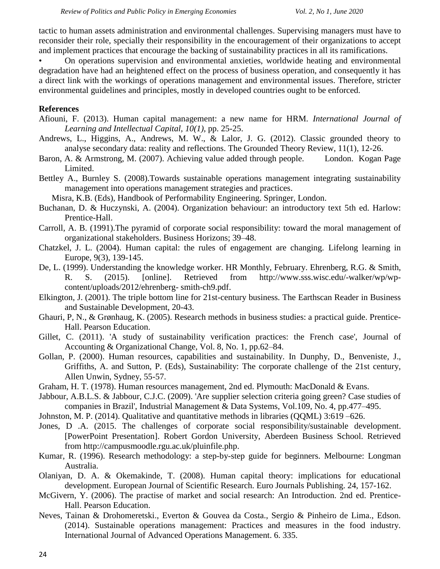tactic to human assets administration and environmental challenges. Supervising managers must have to reconsider their role, specially their responsibility in the encouragement of their organizations to accept and implement practices that encourage the backing of sustainability practices in all its ramifications.

• On operations supervision and environmental anxieties, worldwide heating and environmental degradation have had an heightened effect on the process of business operation, and consequently it has a direct link with the workings of operations management and environmental issues. Therefore, stricter environmental guidelines and principles, mostly in developed countries ought to be enforced.

#### **References**

- Afiouni, F. (2013). Human capital management: a new name for HRM. *International Journal of Learning and Intellectual Capital, 10(1),* pp. 25-25.
- Andrews, L., Higgins, A., Andrews, M. W., & Lalor, J. G. (2012). Classic grounded theory to analyse secondary data: reality and reflections. The Grounded Theory Review, 11(1), 12-26.
- Baron, A. & Armstrong, M. (2007). Achieving value added through people. London. Kogan Page Limited.
- Bettley A., Burnley S. (2008).Towards sustainable operations management integrating sustainability management into operations management strategies and practices.

Misra, K.B. (Eds), Handbook of Performability Engineering. Springer, London.

- Buchanan, D. & Huczynski, A. (2004). Organization behaviour: an introductory text 5th ed. Harlow: Prentice-Hall.
- Carroll, A. B. (1991).The pyramid of corporate social responsibility: toward the moral management of organizational stakeholders. Business Horizons; 39–48.
- Chatzkel, J. L. (2004). Human capital: the rules of engagement are changing. Lifelong learning in Europe, 9(3), 139-145.
- De, L. (1999). Understanding the knowledge worker. HR Monthly, February. Ehrenberg, R.G. & Smith, R. S. (2015). [online]. Retrieved from [http://www.sss.wisc.edu/-walker/wp/wp](http://www.sss.wisc.edu/-walker/wp/wp-content/uploads/2012/ehrenberg-%20%20%20%0d%20%20%20%20%20%20%20%20%20%20smith-ch9.pdf)[content/uploads/2012/ehrenberg-](http://www.sss.wisc.edu/-walker/wp/wp-content/uploads/2012/ehrenberg-%20%20%20%0d%20%20%20%20%20%20%20%20%20%20smith-ch9.pdf) [smith-ch9.pdf.](http://www.sss.wisc.edu/-walker/wp/wp-content/uploads/2012/ehrenberg-%20%20%20%0d%20%20%20%20%20%20%20%20%20%20smith-ch9.pdf)
- Elkington, J. (2001). The triple bottom line for 21st-century business. The Earthscan Reader in Business and Sustainable Development, 20-43.
- Ghauri, P, N., & Grønhaug, K. (2005). Research methods in business studies: a practical guide. Prentice-Hall. [Pearson Education.](https://www.google.co.uk/search?tbo=p&tbm=bks&q=bibliogroup:%22Pearson+education%22&source=gbs_metadata_r&cad=5)
- Gillet, C. (2011). 'A study of sustainability verification practices: the French case', Journal of Accounting & Organizational Change, Vol. 8, No. 1, pp.62–84.
- Gollan, P. (2000). Human resources, capabilities and sustainability. In Dunphy, D., Benveniste, J., Griffiths, A. and Sutton, P. (Eds), Sustainability: The corporate challenge of the 21st century, Allen Unwin, Sydney, 55-57.
- Graham, H. T. (1978). Human resources management, 2nd ed. Plymouth: MacDonald & Evans.
- Jabbour, A.B.L.S. & Jabbour, C.J.C. (2009). 'Are supplier selection criteria going green? Case studies of companies in Brazil', Industrial Management & Data Systems, Vol.109, No. 4, pp.477–495.
- Johnston, M. P. (2014). Qualitative and quantitative methods in libraries (QQML) 3:619 –626.
- Jones, D .A. (2015. The challenges of corporate social responsibility/sustainable development. [PowerPoint Presentation]. Robert Gordon University, Aberdeen Business School. Retrieved from [http://campusmoodle.rgu.ac.uk/pluinfile.php.](http://campusmoodle.rgu.ac.uk/pluinfile.php)
- Kumar, R. (1996). Research methodology: a step-by-step guide for beginners. Melbourne: Longman Australia.
- Olaniyan, D. A. & Okemakinde, T. (2008). Human capital theory: implications for educational development. European Journal of Scientific Research. Euro Journals Publishing. 24, 157-162.
- McGivern, Y. (2006). The practise of market and social research: An Introduction. 2nd ed. Prentice-Hall. [Pearson Education.](https://www.google.co.uk/search?tbo=p&tbm=bks&q=bibliogroup:%22Pearson+education%22&source=gbs_metadata_r&cad=5)
- Neves, Tainan & Drohomeretski., Everton & Gouvea da Costa., Sergio & Pinheiro de Lima., Edson. (2014). Sustainable operations management: Practices and measures in the food industry. International Journal of Advanced Operations Management. 6. 335.